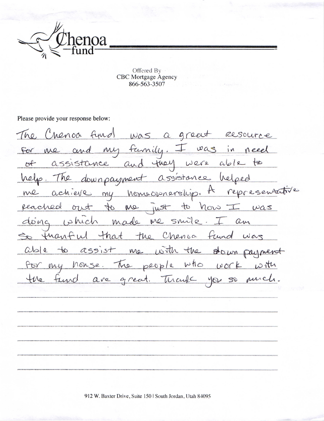

Offered By **CBC** Mortgage Agency 866-563-3507

Please provide your response below:

The Chenoa fund was a great Resource my family.  $i_{\mathcal{N}}$ and For  $w\alpha s$ me they assistance and Were  $ab12$  $Of$  $#$ helped help. The assistance downpayment esentative  $\bm{\mu}$ me my homeophershy rep achieve 40 40 Mo how Reached  $0715$ iust  $was$ made me smile.  $10$  hich dong am the Chensa fund that franful war  $\alpha$ ssist me with the  $C(s)$  $40$  $\theta$ oun for my honse. The people who  $U$   $\alpha$ the fund are great. Thank  $404$  $50$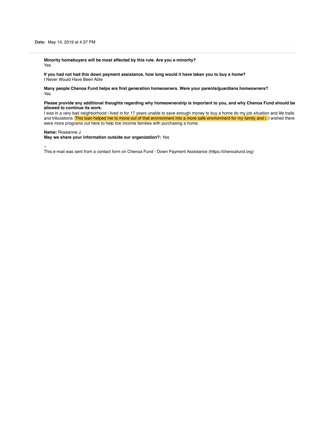

**Minority homebuyers will be most affected by this rule. Are you a minority?** Yes

**If you had not had this down payment assistance, how long would it have taken you to buy a home?** I Never Would Have Been Able

**Many people Chenoa Fund helps are first generation homeowners. Were your parents/guardians homeowners?** Yes

### **Please provide any additional thoughts regarding why homeownership is important to you, and why Chenoa Fund should be allowed to continue its work.**

I was in a very bad neighborhood i lived in for 17 years unable to save enough money to buy a home do my job situation and life trails and tribulations. This loan helped me to move out of that environment into a more safe environment for my family and i. I wished there were more programs out here to help low income families with purchasing a home.

### **Name:** Roseanne J

**May we share your information outside our organization?:** Yes

--

This e-mail was sent from a contact form on Chenoa Fund - Down Payment Assistance (https://chenoafund.org)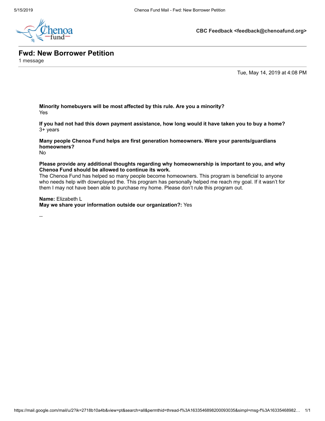

**CBC Feedback <feedback@chenoafund.org>**

**Fwd: New Borrower Petition**

1 message

Tue, May 14, 2019 at 4:08 PM

**Minority homebuyers will be most affected by this rule. Are you a minority?** Yes

**If you had not had this down payment assistance, how long would it have taken you to buy a home?** 3+ years

**Many people Chenoa Fund helps are first generation homeowners. Were your parents/guardians homeowners?**

No

**Please provide any additional thoughts regarding why homeownership is important to you, and why Chenoa Fund should be allowed to continue its work.**

The Chenoa Fund has helped so many people become homeowners. This program is beneficial to anyone who needs help with downplayed the. This program has personally helped me reach my goal. If it wasn't for them I may not have been able to purchase my home. Please don't rule this program out.

**Name:** Elizabeth L

**May we share your information outside our organization?:** Yes

--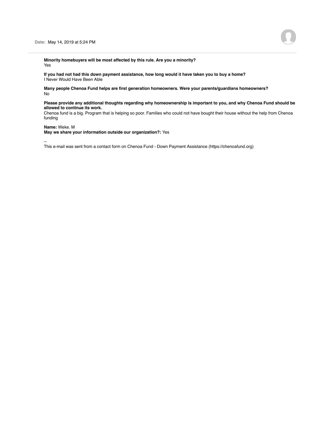**Minority homebuyers will be most affected by this rule. Are you a minority?** Yes

**If you had not had this down payment assistance, how long would it have taken you to buy a home?** I Never Would Have Been Able

**Many people Chenoa Fund helps are first generation homeowners. Were your parents/guardians homeowners?** No

### **Please provide any additional thoughts regarding why homeownership is important to you, and why Chenoa Fund should be allowed to continue its work.**

Chenoa fund is a big. Program that is helping so poor. Families who could not have bought their house without the help from Chenoa funding

### **Name:** Weke. M

**May we share your information outside our organization?:** Yes

--

This e-mail was sent from a contact form on Chenoa Fund - Down Payment Assistance (https://chenoafund.org)